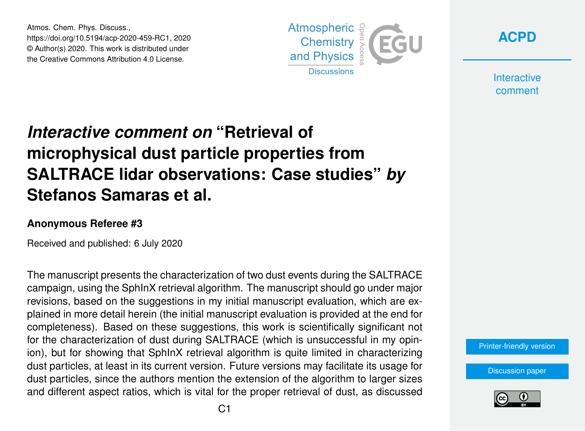Atmos. Chem. Phys. Discuss., https://doi.org/10.5194/acp-2020-459-RC1, 2020 © Author(s) 2020. This work is distributed under the Creative Commons Attribution 4.0 License.



**[ACPD](https://www.atmos-chem-phys-discuss.net/)**

**Interactive** comment

# *Interactive comment on* **"Retrieval of microphysical dust particle properties from SALTRACE lidar observations: Case studies"** *by* **Stefanos Samaras et al.**

#### **Anonymous Referee #3**

Received and published: 6 July 2020

The manuscript presents the characterization of two dust events during the SALTRACE campaign, using the SphInX retrieval algorithm. The manuscript should go under major revisions, based on the suggestions in my initial manuscript evaluation, which are explained in more detail herein (the initial manuscript evaluation is provided at the end for completeness). Based on these suggestions, this work is scientifically significant not for the characterization of dust during SALTRACE (which is unsuccessful in my opinion), but for showing that SphInX retrieval algorithm is quite limited in characterizing dust particles, at least in its current version. Future versions may facilitate its usage for dust particles, since the authors mention the extension of the algorithm to larger sizes and different aspect ratios, which is vital for the proper retrieval of dust, as discussed

[Printer-friendly version](https://www.atmos-chem-phys-discuss.net/acp-2020-459/acp-2020-459-RC1-print.pdf)

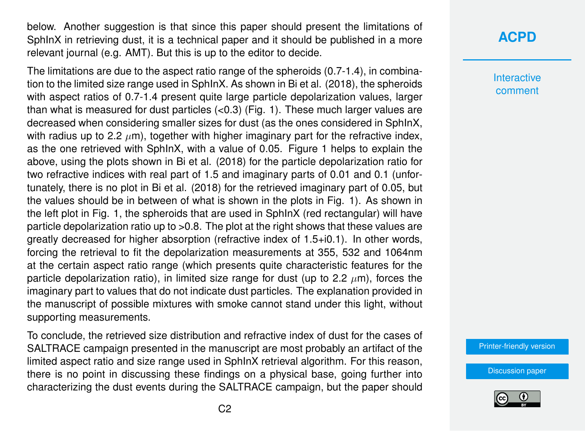below. Another suggestion is that since this paper should present the limitations of SphInX in retrieving dust, it is a technical paper and it should be published in a more relevant journal (e.g. AMT). But this is up to the editor to decide.

The limitations are due to the aspect ratio range of the spheroids (0.7-1.4), in combination to the limited size range used in SphInX. As shown in Bi et al. (2018), the spheroids with aspect ratios of 0.7-1.4 present quite large particle depolarization values, larger than what is measured for dust particles  $( $0.3$ ) (Fig. 1). These much larger values are$ decreased when considering smaller sizes for dust (as the ones considered in SphInX, with radius up to 2.2  $\mu$ m), together with higher imaginary part for the refractive index, as the one retrieved with SphInX, with a value of 0.05. Figure 1 helps to explain the above, using the plots shown in Bi et al. (2018) for the particle depolarization ratio for two refractive indices with real part of 1.5 and imaginary parts of 0.01 and 0.1 (unfortunately, there is no plot in Bi et al. (2018) for the retrieved imaginary part of 0.05, but the values should be in between of what is shown in the plots in Fig. 1). As shown in the left plot in Fig. 1, the spheroids that are used in SphInX (red rectangular) will have particle depolarization ratio up to >0.8. The plot at the right shows that these values are greatly decreased for higher absorption (refractive index of 1.5+i0.1). In other words, forcing the retrieval to fit the depolarization measurements at 355, 532 and 1064nm at the certain aspect ratio range (which presents quite characteristic features for the particle depolarization ratio), in limited size range for dust (up to 2.2  $\mu$ m), forces the imaginary part to values that do not indicate dust particles. The explanation provided in the manuscript of possible mixtures with smoke cannot stand under this light, without supporting measurements.

To conclude, the retrieved size distribution and refractive index of dust for the cases of SALTRACE campaign presented in the manuscript are most probably an artifact of the limited aspect ratio and size range used in SphInX retrieval algorithm. For this reason, there is no point in discussing these findings on a physical base, going further into characterizing the dust events during the SALTRACE campaign, but the paper should

## **[ACPD](https://www.atmos-chem-phys-discuss.net/)**

**Interactive** comment

[Printer-friendly version](https://www.atmos-chem-phys-discuss.net/acp-2020-459/acp-2020-459-RC1-print.pdf)

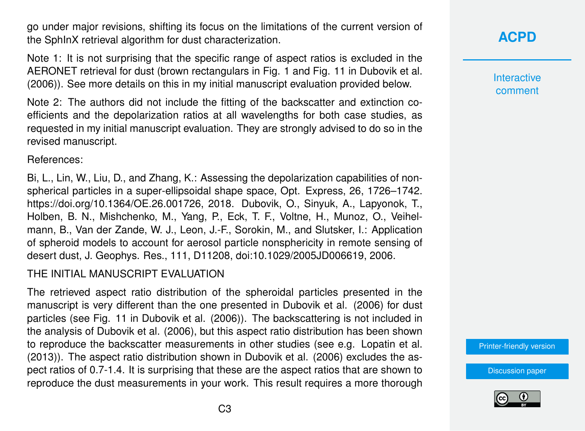go under major revisions, shifting its focus on the limitations of the current version of the SphInX retrieval algorithm for dust characterization.

Note 1: It is not surprising that the specific range of aspect ratios is excluded in the AERONET retrieval for dust (brown rectangulars in Fig. 1 and Fig. 11 in Dubovik et al. (2006)). See more details on this in my initial manuscript evaluation provided below.

Note 2: The authors did not include the fitting of the backscatter and extinction coefficients and the depolarization ratios at all wavelengths for both case studies, as requested in my initial manuscript evaluation. They are strongly advised to do so in the revised manuscript.

References:

Bi, L., Lin, W., Liu, D., and Zhang, K.: Assessing the depolarization capabilities of nonspherical particles in a super-ellipsoidal shape space, Opt. Express, 26, 1726–1742. https://doi.org/10.1364/OE.26.001726, 2018. Dubovik, O., Sinyuk, A., Lapyonok, T., Holben, B. N., Mishchenko, M., Yang, P., Eck, T. F., Voltne, H., Munoz, O., Veihelmann, B., Van der Zande, W. J., Leon, J.-F., Sorokin, M., and Slutsker, I.: Application of spheroid models to account for aerosol particle nonsphericity in remote sensing of desert dust, J. Geophys. Res., 111, D11208, doi:10.1029/2005JD006619, 2006.

### THE INITIAL MANUSCRIPT EVALUATION

The retrieved aspect ratio distribution of the spheroidal particles presented in the manuscript is very different than the one presented in Dubovik et al. (2006) for dust particles (see Fig. 11 in Dubovik et al. (2006)). The backscattering is not included in the analysis of Dubovik et al. (2006), but this aspect ratio distribution has been shown to reproduce the backscatter measurements in other studies (see e.g. Lopatin et al. (2013)). The aspect ratio distribution shown in Dubovik et al. (2006) excludes the aspect ratios of 0.7-1.4. It is surprising that these are the aspect ratios that are shown to reproduce the dust measurements in your work. This result requires a more thorough



**Interactive** comment

[Printer-friendly version](https://www.atmos-chem-phys-discuss.net/acp-2020-459/acp-2020-459-RC1-print.pdf)

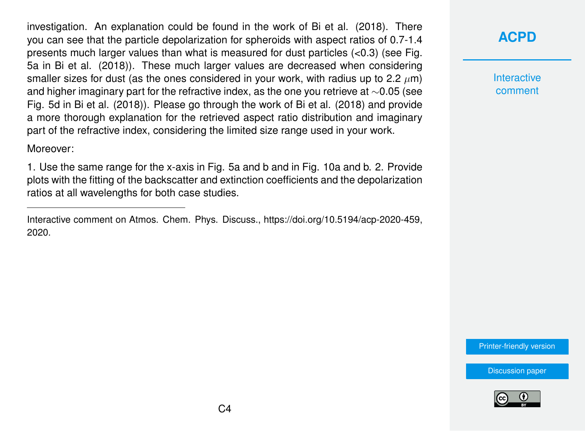investigation. An explanation could be found in the work of Bi et al. (2018). There you can see that the particle depolarization for spheroids with aspect ratios of 0.7-1.4 presents much larger values than what is measured for dust particles (<0.3) (see Fig. 5a in Bi et al. (2018)). These much larger values are decreased when considering smaller sizes for dust (as the ones considered in your work, with radius up to 2.2  $\mu$ m) and higher imaginary part for the refractive index, as the one you retrieve at ∼0.05 (see Fig. 5d in Bi et al. (2018)). Please go through the work of Bi et al. (2018) and provide a more thorough explanation for the retrieved aspect ratio distribution and imaginary part of the refractive index, considering the limited size range used in your work.

Moreover:

1. Use the same range for the x-axis in Fig. 5a and b and in Fig. 10a and b. 2. Provide plots with the fitting of the backscatter and extinction coefficients and the depolarization ratios at all wavelengths for both case studies.

## **[ACPD](https://www.atmos-chem-phys-discuss.net/)**

**Interactive** comment

[Printer-friendly version](https://www.atmos-chem-phys-discuss.net/acp-2020-459/acp-2020-459-RC1-print.pdf)



Interactive comment on Atmos. Chem. Phys. Discuss., https://doi.org/10.5194/acp-2020-459, 2020.